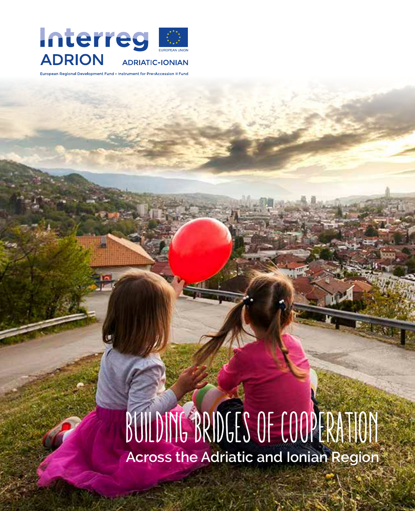

al Development Fund - Instrument for Pre-Accession II Fund

# BUILDING BRIDGES OF COOPERATION **Across the Adriatic and Ionian Region**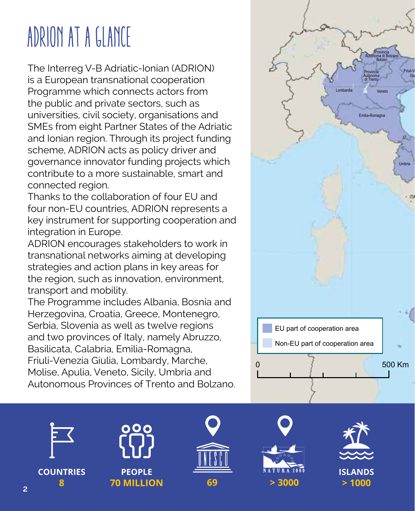# ADRION AT A GLANCE

The Interreg V-B Adriatic-Ionian (ADRION) is a European transnational cooperation Programme which connects actors from the public and private sectors, such as universities, civil society, organisations and SMEs from eight Partner States of the Adriatic and Ionian region. Through its project funding scheme, ADRION acts as policy driver and governance innovator funding projects which contribute to a more sustainable, smart and connected region.

Thanks to the collaboration of four EU and four non-EU countries, ADRION represents a key instrument for supporting cooperation and integration in Europe.

ADRION encourages stakeholders to work in transnational networks aiming at developing strategies and action plans in key areas for the region, such as innovation, environment, transport and mobility.

The Programme includes Albania, Bosnia and Herzegovina, Croatia, Greece, Montenegro, Serbia, Slovenia as well as twelve regions and two provinces of Italy, namely Abruzzo, Basilicata, Calabria, Emilia-Romagna, Friuli-Venezia Giulia, Lombardy, Marche, Molise, Apulia, Veneto, Sicily, Umbria and Autonomous Provinces of Trento and Bolzano.



**COUNTRIES**







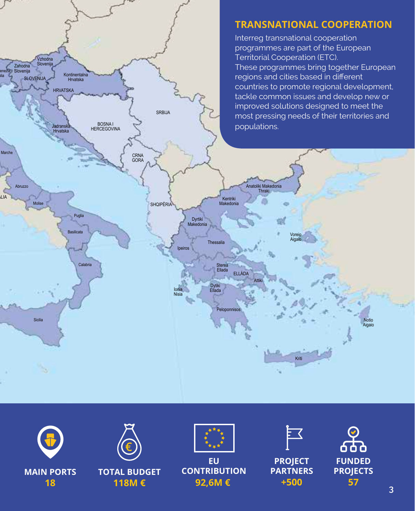





**TOTAL BUDGET 118M €**



**EU CONTRIBUTION 92,6M €**



**PROJECT PARTNERS +500**

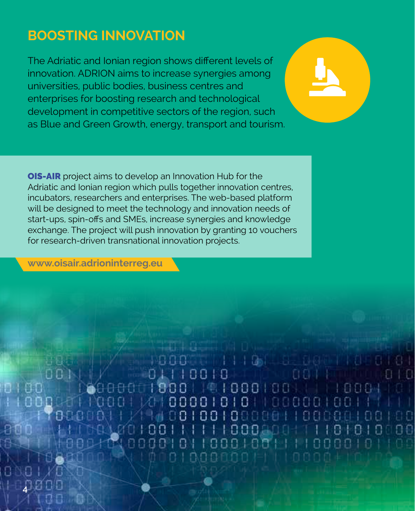# **BOOSTING INNOVATION**

The Adriatic and Ionian region shows different levels of innovation. ADRION aims to increase synergies among universities, public bodies, business centres and enterprises for boosting research and technological development in competitive sectors of the region, such as Blue and Green Growth, energy, transport and tourism.

OIS-AIR project aims to develop an Innovation Hub for the Adriatic and Ionian region which pulls together innovation centres, incubators, researchers and enterprises. The web-based platform will be designed to meet the technology and innovation needs of start-ups, spin-offs and SMEs, increase synergies and knowledge exchange. The project will push innovation by granting 10 vouchers for research-driven transnational innovation projects.

**[www.oisair.adrioninterreg.eu](http://www.oisair.adrioninterreg.eu)**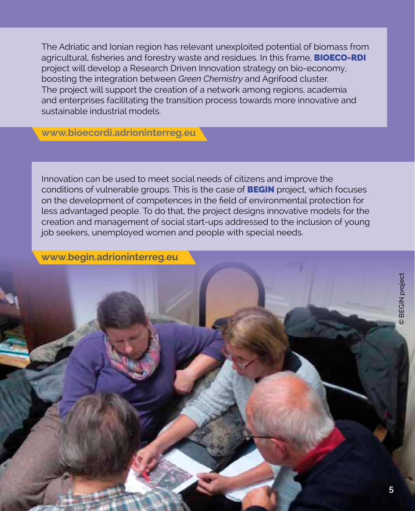The Adriatic and Ionian region has relevant unexploited potential of biomass from agricultural, fisheries and forestry waste and residues. In this frame, **BIOECO-RDI** project will develop a Research Driven Innovation strategy on bio-economy, boosting the integration between *Green Chemistry* and Agrifood cluster. The project will support the creation of a network among regions, academia and enterprises facilitating the transition process towards more innovative and sustainable industrial models.

**[www.bioecordi.adrioninterreg.eu](http://www.bioecordi.adrioninterreg.eu)**

Innovation can be used to meet social needs of citizens and improve the conditions of vulnerable groups. This is the case of BEGIN project, which focuses on the development of competences in the field of environmental protection for less advantaged people. To do that, the project designs innovative models for the creation and management of social start-ups addressed to the inclusion of young job seekers, unemployed women and people with special needs.

**[www.begin.adrioninterreg.eu](http://www.begin.adrioninterreg.eu)**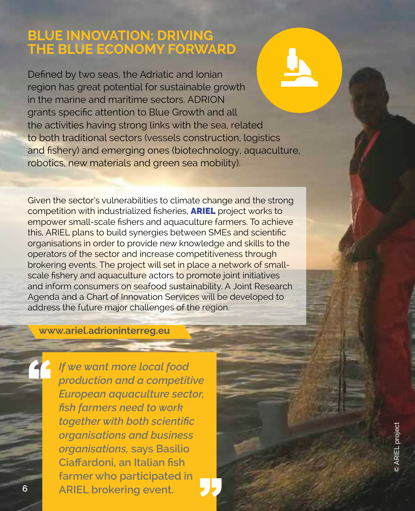## **BLUE INNOVATION: DRIVING THE BLUE ECONOMY FORWARD**

Defined by two seas, the Adriatic and Ionian region has great potential for sustainable growth in the marine and maritime sectors. ADRION grants specific attention to Blue Growth and all the activities having strong links with the sea, related to both traditional sectors (vessels construction, logistics and fishery) and emerging ones (biotechnology, aquaculture, robotics, new materials and green sea mobility).

Given the sector's vulnerabilities to climate change and the strong competition with industrialized fisheries, ARIEL project works to empower small-scale fishers and aquaculture farmers. To achieve this, ARIEL plans to build synergies between SMEs and scientific organisations in order to provide new knowledge and skills to the operators of the sector and increase competitiveness through brokering events. The project will set in place a network of smallscale fishery and aquaculture actors to promote joint initiatives and inform consumers on seafood sustainability. A Joint Research Agenda and a Chart of Innovation Services will be developed to address the future major challenges of the region.

ן<br>לל

## **[www.ariel.adrioninterreg.eu](http://www.ariel.adrioninterreg.eu)**

*If we want more local food production and a competitive European aquaculture sector, fish farmers need to work together with both scientific organisations and business organisations,* **says Basilio Ciaffardoni, an Italian fish farmer who participated in ARIEL brokering event.**

"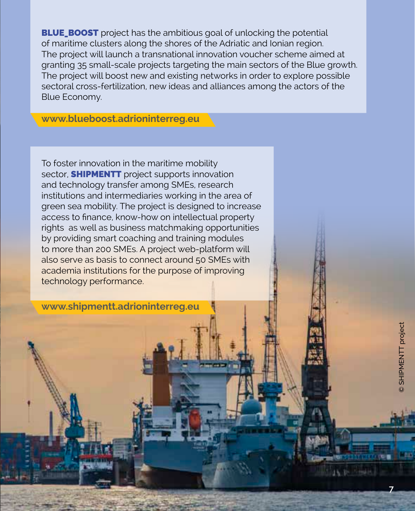**BLUE\_BOOST** project has the ambitious goal of unlocking the potential of maritime clusters along the shores of the Adriatic and Ionian region. The project will launch a transnational innovation voucher scheme aimed at granting 35 small-scale projects targeting the main sectors of the Blue growth. The project will boost new and existing networks in order to explore possible sectoral cross-fertilization, new ideas and alliances among the actors of the Blue Economy.

**[www.blueboost.adrioninterreg.eu](http://www.bluboost.adrioninterreg.eu)**

To foster innovation in the maritime mobility sector, **SHIPMENTT** project supports innovation and technology transfer among SMEs, research institutions and intermediaries working in the area of green sea mobility. The project is designed to increase access to finance, know-how on intellectual property rights as well as business matchmaking opportunities by providing smart coaching and training modules to more than 200 SMEs. A project web-platform will also serve as basis to connect around 50 SMEs with academia institutions for the purpose of improving technology performance.

**[www.shipmentt.adrioninterreg.eu](http://www.shipmentt.adrioninterreg.eu)**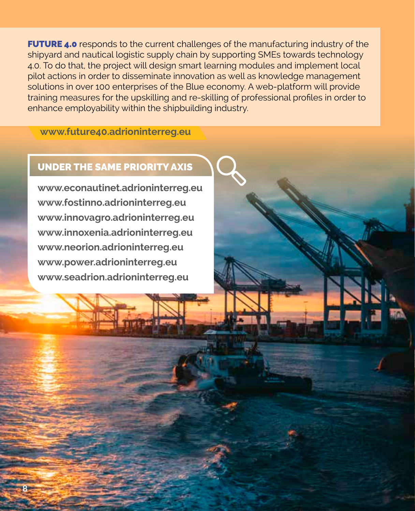**FUTURE 4.0** responds to the current challenges of the manufacturing industry of the shipyard and nautical logistic supply chain by supporting SMEs towards technology 4.0. To do that, the project will design smart learning modules and implement local pilot actions in order to disseminate innovation as well as knowledge management solutions in over 100 enterprises of the Blue economy. A web-platform will provide training measures for the upskilling and re‑skilling of professional profiles in order to enhance employability within the shipbuilding industry.

**[www.future40.adrioninterreg.eu](http://www.future40.adrioninterreg.eu)**

## UNDER THE SAME PRIORITY AXIS

**www.econautinet.adrioninterreg.eu www.fostinno.adrioninterreg.eu www.innovagro.adrioninterreg.eu www.innoxenia.adrioninterreg.eu www.neorion.adrioninterreg.eu www.power.adrioninterreg.eu www.seadrion.adrioninterreg.eu**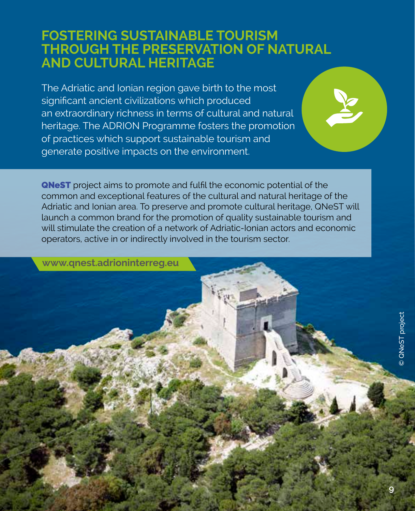# **FOSTERING SUSTAINABLE TOURISM THROUGH THE PRESERVATION OF NATURAL AND CULTURAL HERITAGE**

The Adriatic and Ionian region gave birth to the most significant ancient civilizations which produced an extraordinary richness in terms of cultural and natural heritage. The ADRION Programme fosters the promotion of practices which support sustainable tourism and generate positive impacts on the environment.

**QNeST** project aims to promote and fulfil the economic potential of the common and exceptional features of the cultural and natural heritage of the Adriatic and Ionian area. To preserve and promote cultural heritage, QNeST will launch a common brand for the promotion of quality sustainable tourism and will stimulate the creation of a network of Adriatic-Ionian actors and economic operators, active in or indirectly involved in the tourism sector.

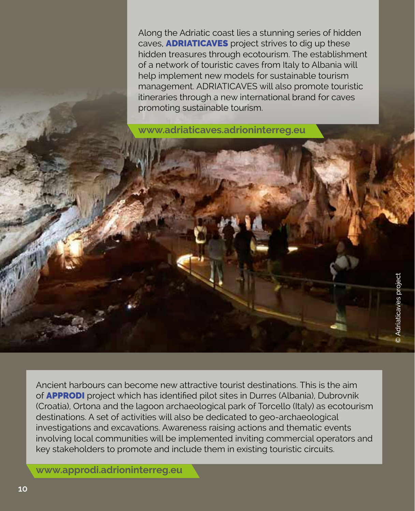Along the Adriatic coast lies a stunning series of hidden caves, ADRIATICAVES project strives to dig up these hidden treasures through ecotourism. The establishment of a network of touristic caves from Italy to Albania will help implement new models for sustainable tourism management. ADRIATICAVES will also promote touristic itineraries through a new international brand for caves promoting sustainable tourism.

**[www.adriaticaves.adrioninterreg.eu](http://www.adriaticaves.adrioninterreg.eu)**

Ancient harbours can become new attractive tourist destinations. This is the aim of APPRODI project which has identified pilot sites in Durres (Albania), Dubrovnik (Croatia), Ortona and the lagoon archaeological park of Torcello (Italy) as ecotourism destinations. A set of activities will also be dedicated to geo-archaeological investigations and excavations. Awareness raising actions and thematic events involving local communities will be implemented inviting commercial operators and key stakeholders to promote and include them in existing touristic circuits.

**[www.approdi.adrioninterreg.eu](http://www.approdi.adrioninterreg.eu)**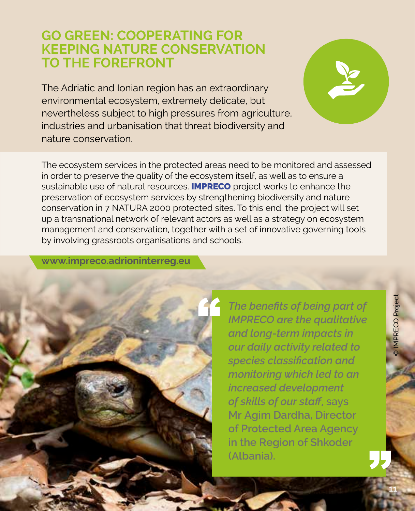# **GO GREEN: COOPERATING FOR KEEPING NATURE CONSERVATION TO THE FOREFRONT**

The Adriatic and Ionian region has an extraordinary environmental ecosystem, extremely delicate, but nevertheless subject to high pressures from agriculture, industries and urbanisation that threat biodiversity and nature conservation.

The ecosystem services in the protected areas need to be monitored and assessed in order to preserve the quality of the ecosystem itself, as well as to ensure a sustainable use of natural resources. **IMPRECO** project works to enhance the preservation of ecosystem services by strengthening biodiversity and nature conservation in 7 NATURA 2000 protected sites. To this end, the project will set up a transnational network of relevant actors as well as a strategy on ecosystem management and conservation, together with a set of innovative governing tools by involving grassroots organisations and schools.

**[www.impreco.adrioninterreg.eu](http://www.impreco.adrioninterreg.eu)**



*The benefits of being part of IMPRECO are the qualitative and long-term impacts in our daily activity related to species classification and monitoring which led to an increased development of skills of our staff***, says Mr Agim Dardha, Director**  of Protected Area Agency<br>
in the Region of Shkoder<br>(Albania). **in the Region of Shkoder**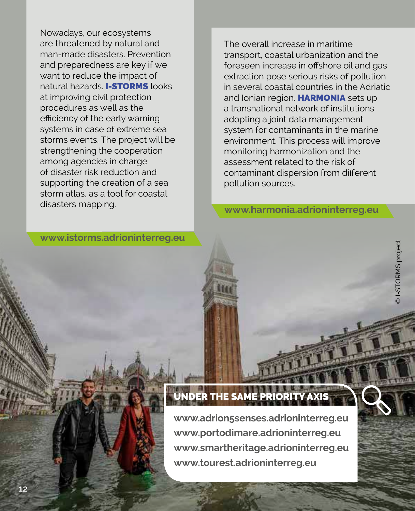Nowadays, our ecosystems are threatened by natural and man-made disasters. Prevention and preparedness are key if we want to reduce the impact of natural hazards. **I-STORMS** looks at improving civil protection procedures as well as the efficiency of the early warning systems in case of extreme sea storms events. The project will be strengthening the cooperation among agencies in charge of disaster risk reduction and supporting the creation of a sea storm atlas, as a tool for coastal disasters mapping.

The overall increase in maritime transport, coastal urbanization and the foreseen increase in offshore oil and gas extraction pose serious risks of pollution in several coastal countries in the Adriatic and Ionian region. HARMONIA sets up a transnational network of institutions adopting a joint data management system for contaminants in the marine environment. This process will improve monitoring harmonization and the assessment related to the risk of contaminant dispersion from different pollution sources.

**[www.harmonia.adrioninterreg.eu](http://www.harmonia.adrioninterreg.eu)**

**[www.istorms.adrioninterreg.eu](http://www.istorms.adrioninterreg.eu)**

## UNDER THE SAM

**www.adrion5senses.adrioninterreg.eu www.portodimare.adrioninterreg.eu www.smartheritage.adrioninterreg.eu www.tourest.adrioninterreg.eu**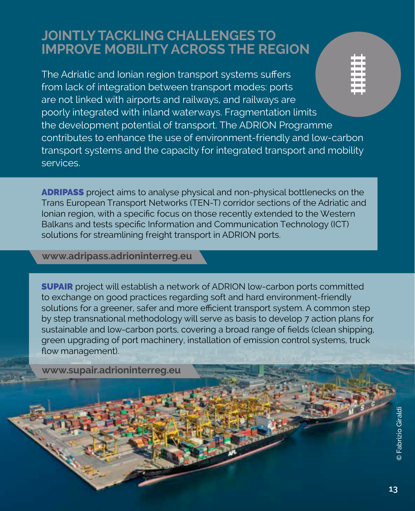# **JOINTLY TACKLING CHALLENGES TO IMPROVE MOBILITY ACROSS THE REGION**

The Adriatic and Ionian region transport systems suffers from lack of integration between transport modes: ports are not linked with airports and railways, and railways are poorly integrated with inland waterways. Fragmentation limits the development potential of transport. The ADRION Programme contributes to enhance the use of environment-friendly and low-carbon transport systems and the capacity for integrated transport and mobility services.

ADRIPASS project aims to analyse physical and non-physical bottlenecks on the Trans European Transport Networks (TEN-T) corridor sections of the Adriatic and Ionian region, with a specific focus on those recently extended to the Western Balkans and tests specific Information and Communication Technology (ICT) solutions for streamlining freight transport in ADRION ports.

**[www.adripass.adrioninterreg.eu](http://www.adripass.adrioninterreg.eu)**

SUPAIR project will establish a network of ADRION low-carbon ports committed to exchange on good practices regarding soft and hard environment-friendly solutions for a greener, safer and more efficient transport system. A common step by step transnational methodology will serve as basis to develop 7 action plans for sustainable and low-carbon ports, covering a broad range of fields (clean shipping, green upgrading of port machinery, installation of emission control systems, truck flow management).

**[www.supair.adrioninterreg.eu](http://www.supair.adrioninterreg.eu)**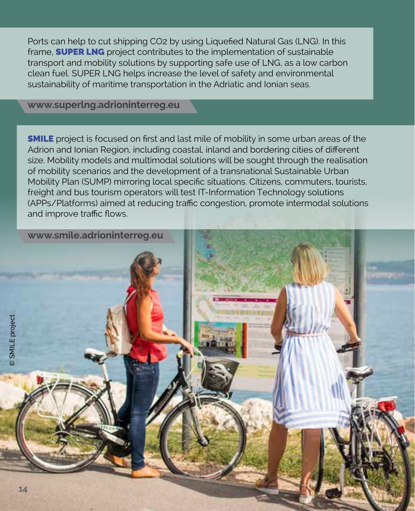Ports can help to cut shipping CO2 by using Liquefied Natural Gas (LNG). In this frame. **SUPER LNG** project contributes to the implementation of sustainable transport and mobility solutions by supporting safe use of LNG, as a low carbon clean fuel. SUPER LNG helps increase the level of safety and environmental sustainability of maritime transportation in the Adriatic and Ionian seas.

### **[www.superlng.adrioninterreg.eu](http://www.superlng.adrioninterreg.eu)**

**SMILE** project is focused on first and last mile of mobility in some urban areas of the Adrion and Ionian Region, including coastal, inland and bordering cities of different size. Mobility models and multimodal solutions will be sought through the realisation of mobility scenarios and the development of a transnational Sustainable Urban Mobility Plan (SUMP) mirroring local specific situations. Citizens, commuters, tourists, freight and bus tourism operators will test IT-Information Technology solutions (APPs/Platforms) aimed at reducing traffic congestion, promote intermodal solutions and improve traffic flows.

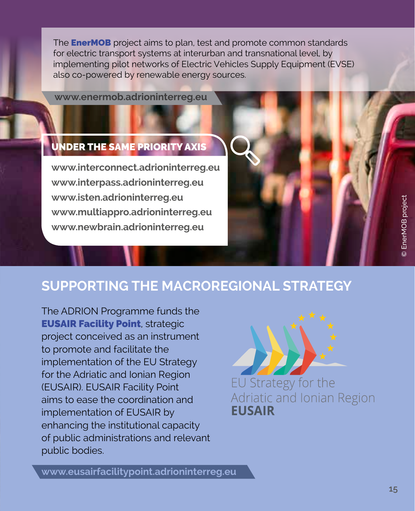The **EnerMOB** project aims to plan, test and promote common standards for electric transport systems at interurban and transnational level, by implementing pilot networks of Electric Vehicles Supply Equipment (EVSE) also co-powered by renewable energy sources.

**[www.enermob.adrioninterreg.eu](http://www.enermob.adrioninterreg.eu)**

# UNDER THE SAME PRIORITY AXIS

**www.interconnect.adrioninterreg.eu www.interpass.adrioninterreg.eu www.isten.adrioninterreg.eu www.multiappro.adrioninterreg.eu www.newbrain.adrioninterreg.eu**



The ADRION Programme funds the **EUSAIR Facility Point, strategic** project conceived as an instrument to promote and facilitate the implementation of the EU Strategy for the Adriatic and Ionian Region (EUSAIR). EUSAIR Facility Point aims to ease the coordination and implementation of EUSAIR by enhancing the institutional capacity of public administrations and relevant public bodies.



**[www.eusairfacilitypoint.adrioninterreg.eu](http://www.eusairfacilitypoint.adrioninterreg.eu)**